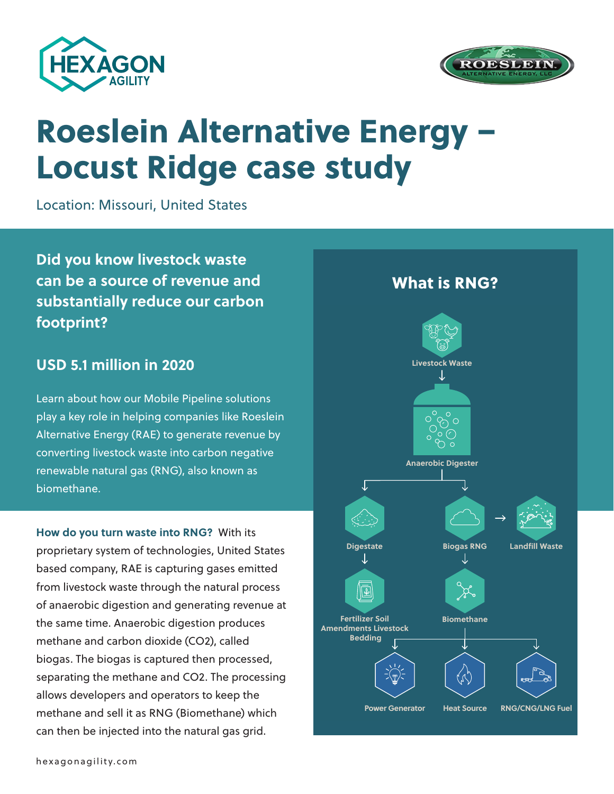



# Roeslein Alternative Energy – Locust Ridge case study

Location: Missouri, United States

**Did you know livestock waste can be a source of revenue and substantially reduce our carbon footprint?**

### **USD 5.1 million in 2020**

Learn about how our Mobile Pipeline solutions play a key role in helping companies like Roeslein Alternative Energy (RAE) to generate revenue by converting livestock waste into carbon negative renewable natural gas (RNG), also known as biomethane.

**How do you turn waste into RNG?** With its proprietary system of technologies, United States based company, RAE is capturing gases emitted from livestock waste through the natural process of anaerobic digestion and generating revenue at the same time. Anaerobic digestion produces methane and carbon dioxide (CO2), called biogas. The biogas is captured then processed, separating the methane and CO2. The processing allows developers and operators to keep the methane and sell it as RNG (Biomethane) which can then be injected into the natural gas grid.

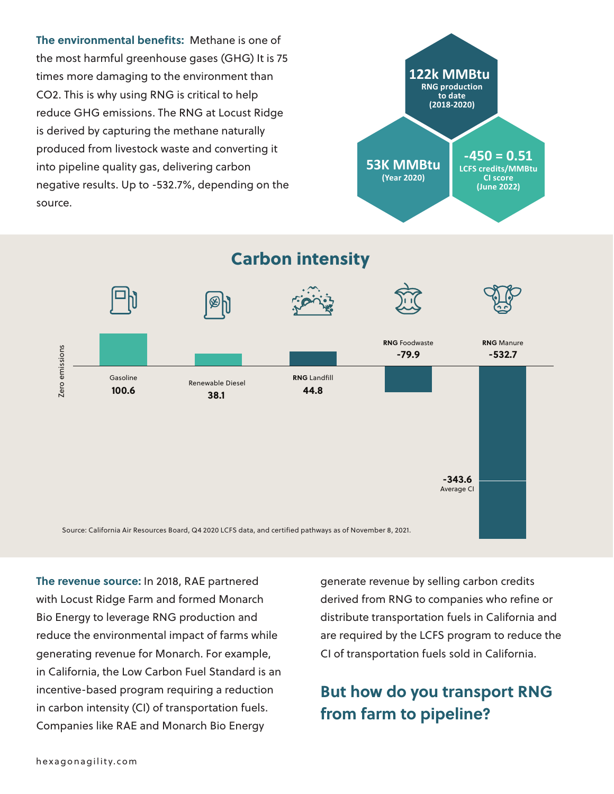**The environmental benefits:** Methane is one of the most harmful greenhouse gases (GHG) It is 75 times more damaging to the environment than CO2. This is why using RNG is critical to help reduce GHG emissions. The RNG at Locust Ridge is derived by capturing the methane naturally produced from livestock waste and converting it into pipeline quality gas, delivering carbon negative results. Up to -532.7%, depending on the source.



Carbon intensity



**The revenue source:** In 2018, RAE partnered with Locust Ridge Farm and formed Monarch Bio Energy to leverage RNG production and reduce the environmental impact of farms while generating revenue for Monarch. For example, in California, the Low Carbon Fuel Standard is an incentive-based program requiring a reduction in carbon intensity (CI) of transportation fuels. Companies like RAE and Monarch Bio Energy

generate revenue by selling carbon credits derived from RNG to companies who refine or distribute transportation fuels in California and are required by the LCFS program to reduce the CI of transportation fuels sold in California.

### **But how do you transport RNG from farm to pipeline?**